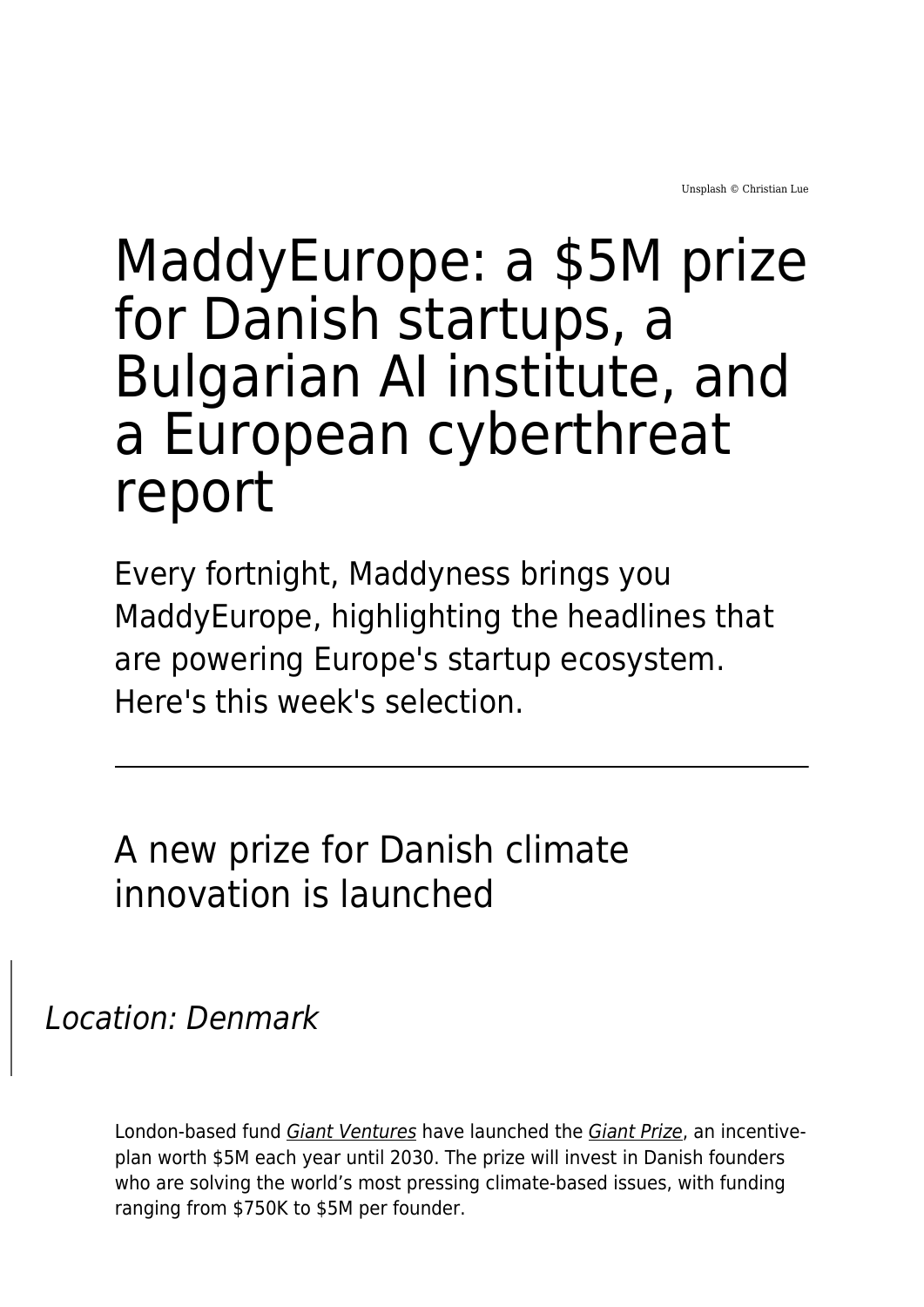Unsplash © Christian Lue

# MaddyEurope: a \$5M prize for Danish startups, a Bulgarian AI institute, and a European cyberthreat report

Every fortnight, Maddyness brings you MaddyEurope, highlighting the headlines that are powering Europe's startup ecosystem. Here's this week's selection.

A new prize for Danish climate innovation is launched

## Location: Denmark

London-based fund [Giant Ventures](https://www.giant.vc/) have launched the [Giant Prize](https://www.giant.vc/giant-prize-dk), an incentiveplan worth \$5M each year until 2030. The prize will invest in Danish founders who are solving the world's most pressing climate-based issues, with funding ranging from \$750K to \$5M per founder.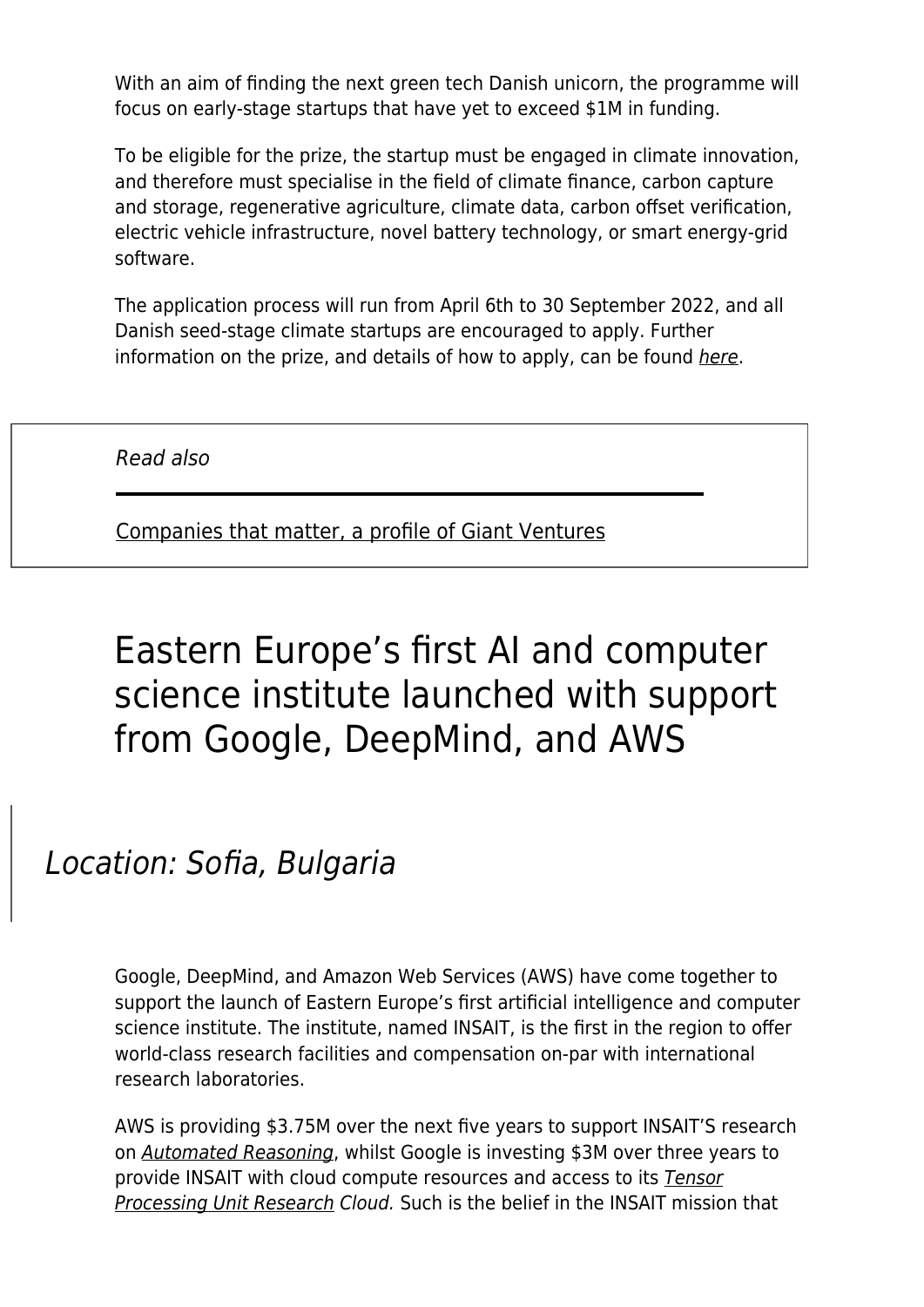With an aim of finding the next green tech Danish unicorn, the programme will focus on early-stage startups that have yet to exceed \$1M in funding.

To be eligible for the prize, the startup must be engaged in climate innovation, and therefore must specialise in the field of climate finance, carbon capture and storage, regenerative agriculture, climate data, carbon offset verification, electric vehicle infrastructure, novel battery technology, or smart energy-grid software.

The application process will run from April 6th to 30 September 2022, and all Danish seed-stage climate startups are encouraged to apply. Further information on the prize, and details of how to apply, can be found [here](https://www.giant.vc/giant-prize-dk).

Read also

[Companies that matter, a profile of Giant Ventures](https://www.maddyness.com/uk/2022/02/21/companies-that-matter-a-profile-of-giant-ventures/)

# Eastern Europe's first AI and computer science institute launched with support from Google, DeepMind, and AWS

#### Location: Sofia, Bulgaria

Google, DeepMind, and Amazon Web Services (AWS) have come together to support the launch of Eastern Europe's first artificial intelligence and computer science institute. The institute, named INSAIT, is the first in the region to offer world-class research facilities and compensation on-par with international research laboratories.

AWS is providing \$3.75M over the next five years to support INSAIT'S research on [Automated Reasoning](https://aws.amazon.com/security/provable-security/), whilst Google is investing \$3M over three years to provide INSAIT with cloud compute resources and access to its **[Tensor](https://sites.research.google/trc/about/)** [Processing Unit Research](https://sites.research.google/trc/about/) Cloud. Such is the belief in the INSAIT mission that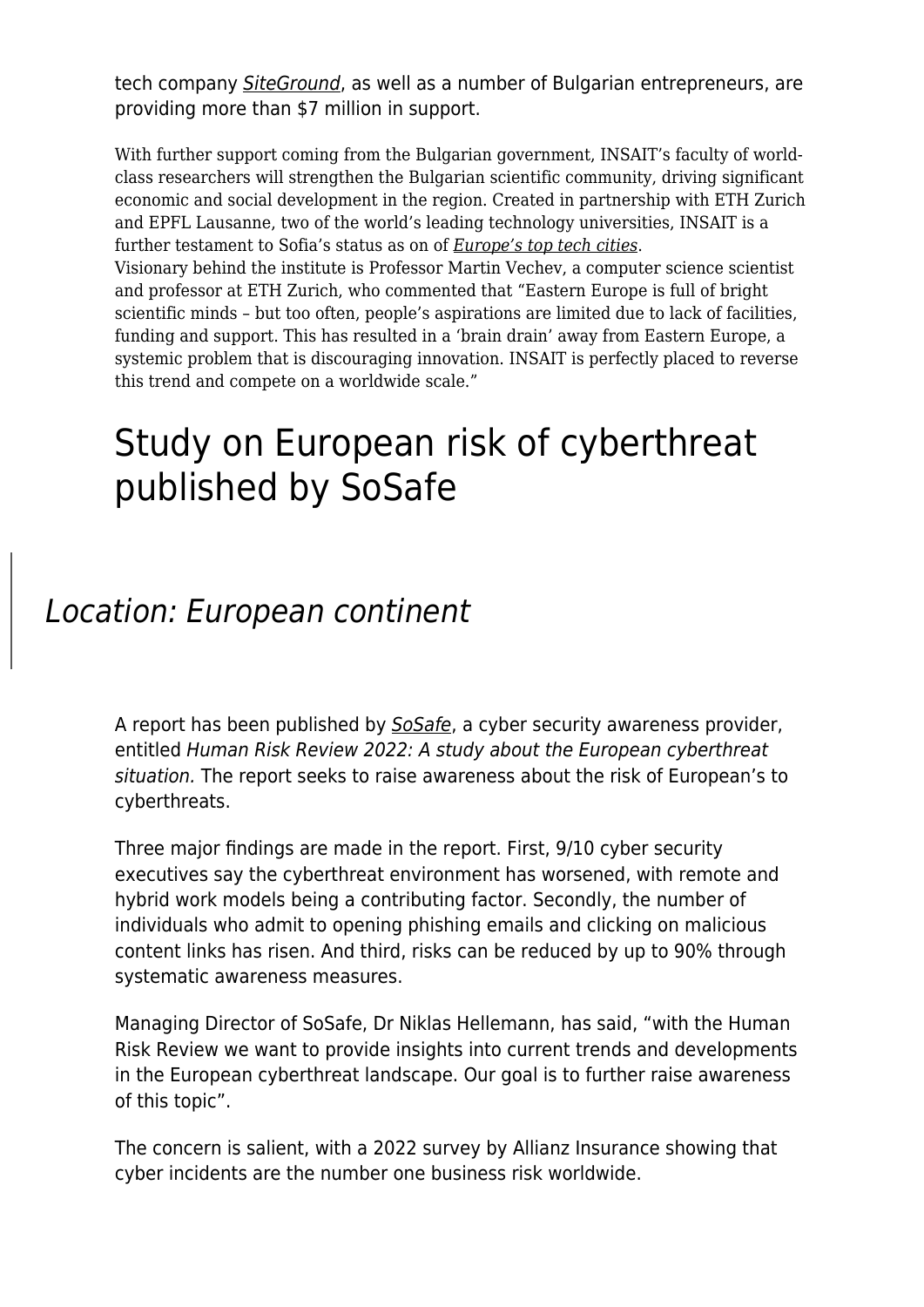tech company [SiteGround](https://www.siteground.co.uk/), as well as a number of Bulgarian entrepreneurs, are providing more than \$7 million in support.

With further support coming from the Bulgarian government, INSAIT's faculty of worldclass researchers will strengthen the Bulgarian scientific community, driving significant economic and social development in the region. Created in partnership with ETH Zurich and EPFL Lausanne, two of the world's leading technology universities, INSAIT is a further testament to Sofia's status as on of *[Europe's top tech cities](https://therecursive.com/sofia-bucharest-and-skopje-among-the-25-top-tech-cities-of-the-future/)*.

Visionary behind the institute is Professor Martin Vechev, a computer science scientist and professor at ETH Zurich, who commented that "Eastern Europe is full of bright scientific minds – but too often, people's aspirations are limited due to lack of facilities, funding and support. This has resulted in a 'brain drain' away from Eastern Europe, a systemic problem that is discouraging innovation. INSAIT is perfectly placed to reverse this trend and compete on a worldwide scale."

## Study on European risk of cyberthreat published by SoSafe

#### Location: European continent

A report has been published by [SoSafe](https://sosafe-awareness.com/), a cyber security awareness provider, entitled Human Risk Review 2022: A study about the European cyberthreat situation. The report seeks to raise awareness about the risk of European's to cyberthreats.

Three major findings are made in the report. First, 9/10 cyber security executives say the cyberthreat environment has worsened, with remote and hybrid work models being a contributing factor. Secondly, the number of individuals who admit to opening phishing emails and clicking on malicious content links has risen. And third, risks can be reduced by up to 90% through systematic awareness measures.

Managing Director of SoSafe, Dr Niklas Hellemann, has said, "with the Human Risk Review we want to provide insights into current trends and developments in the European cyberthreat landscape. Our goal is to further raise awareness of this topic".

The concern is salient, with a 2022 survey by Allianz Insurance showing that cyber incidents are the number one business risk worldwide.